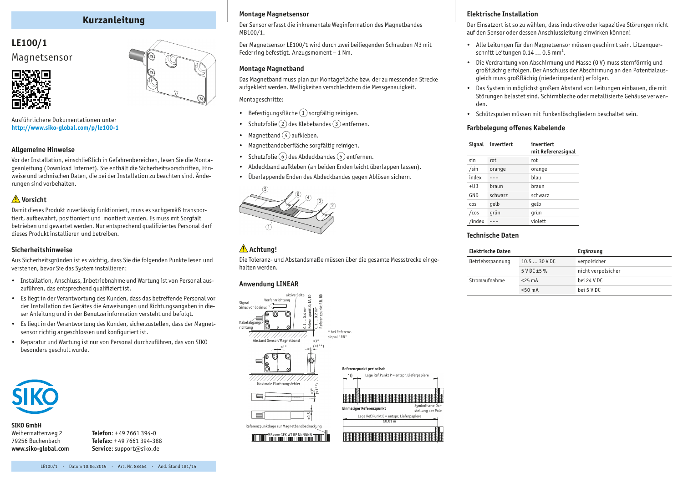# **Kurzanleitung**

# **LE100/1** Magnetsensor



Ausführlichere Dokumentationen unter **http:/[/www.siko-global.com/p/](http://www.siko-global.com/p/le100-1)le100-1**

### **Allgemeine Hinweise**

Vor der Installation, einschließlich in Gefahrenbereichen, lesen Sie die Montageanleitung (Download Internet). Sie enthält die Sicherheitsvorschriften, Hinweise und technischen Daten, die bei der Installation zu beachten sind. Änderungen sind vorbehalten.

## **Vorsicht**

Damit dieses Produkt zuverlässig funktioniert, muss es sachgemäß transportiert, aufbewahrt, positioniert und montiert werden. Es muss mit Sorgfalt betrieben und gewartet werden. Nur entsprechend qualifiziertes Personal darf dieses Produkt installieren und betreiben.

### **Sicherheitshinweise**

Aus Sicherheitsgründen ist es wichtig, dass Sie die folgenden Punkte lesen und verstehen, bevor Sie das System installieren:

- Installation, Anschluss, Inbetriebnahme und Wartung ist von Personal auszuführen, das entsprechend qualifiziert ist.
- • Es liegt in der Verantwortung des Kunden, dass das betreffende Personal vor der Installation des Gerätes die Anweisungen und Richtungsangaben in dieser Anleitung und in der Benutzerinformation versteht und befolgt.
- • Es liegt in der Verantwortung des Kunden, sicherzustellen, dass der Magnetsensor richtig angeschlossen und konfiguriert ist.
- • Reparatur und Wartung ist nur von Personal durchzuführen, das von SIKO besonders geschult wurde.



**SIKO GmbH** Weihermattenweg 2 79256 Buchenbach **www.siko-global.com**

**Telefon**: + 49 7661 394-0 **Telefax**: + 49 7661 394-388 **Service**: support@siko.de

#### **Montage Magnetsensor**

Der Sensor erfasst die inkrementale Weginformation des Magnetbandes MB100/1.

Der Magnetsensor LE100/1 wird durch zwei beiliegenden Schrauben M3 mit Federring befestigt. Anzugsmoment = 1 Nm.

### **Montage Magnetband**

Das Magnetband muss plan zur Montagefläche bzw. der zu messenden Strecke aufgeklebt werden. Welligkeiten verschlechtern die Messgenauigkeit.

Montageschritte:

- Befestigungsfläche  $(1)$  sorgfältig reinigen.
- Schutzfolie $(2)$ des Klebebandes $(3)$  entfernen.
- Magnetband  $\widehat{4}$  aufkleben.
- Magnetbandoberfläche sorgfältig reinigen.
- Schutzfolie  $\left(6\right)$  des Abdeckbandes  $\left(5\right)$  entfernen.
- • Abdeckband aufkleben (an beiden Enden leicht überlappen lassen).
- • Überlappende Enden des Abdeckbandes gegen Ablösen sichern.



## **Achtung!**

Die Toleranz- und Abstandsmaße müssen über die gesamte Messstrecke eingehalten werden.

## **Anwendung LINEAR**



### **Elektrische Installation**

Der Einsatzort ist so zu wählen, dass induktive oder kapazitive Störungen nicht auf den Sensor oder dessen Anschlussleitung einwirken können!

- Alle Leitungen für den Magnetsensor müssen geschirmt sein. Litzenguerschnitt Leitungen 0.14 ... 0.5 mm².
- • Die Verdrahtung von Abschirmung und Masse (0 V) muss sternförmig und großflächig erfolgen. Der Anschluss der Abschirmung an den Potentialausgleich muss großflächig (niederimpedant) erfolgen.
- • Das System in möglichst großem Abstand von Leitungen einbauen, die mit Störungen belastet sind. Schirmbleche oder metallisierte Gehäuse verwenden.
- • Schützspulen müssen mit Funkenlöschgliedern beschaltet sein.

### **Farbbelegung offenes Kabelende**

| Signal | invertiert | invertiert<br>mit Referenzsignal |
|--------|------------|----------------------------------|
| sin    | rot.       | rot                              |
| /sin   | orange     | orange                           |
| index  |            | blau                             |
| $+UB$  | braun      | braun                            |
| GND    | schwarz    | schwarz                          |
| COS    | qelb       | qelb                             |
| /cos   | qrün       | qrün                             |
| /index |            | violett                          |

### **Technische Daten**

| <b>Elektrische Daten</b> |                             | Ergänzung          |
|--------------------------|-----------------------------|--------------------|
| Betriebsspannung         | $10.530$ V DC               | verpolsicher       |
|                          | $5 \text{ V}$ DC $\pm 5 \%$ | nicht verpolsicher |
| Stromaufnahme            | $<$ 25 mA                   | bei 24 V DC        |
|                          | $< 50$ mA                   | bei 5 V DC         |